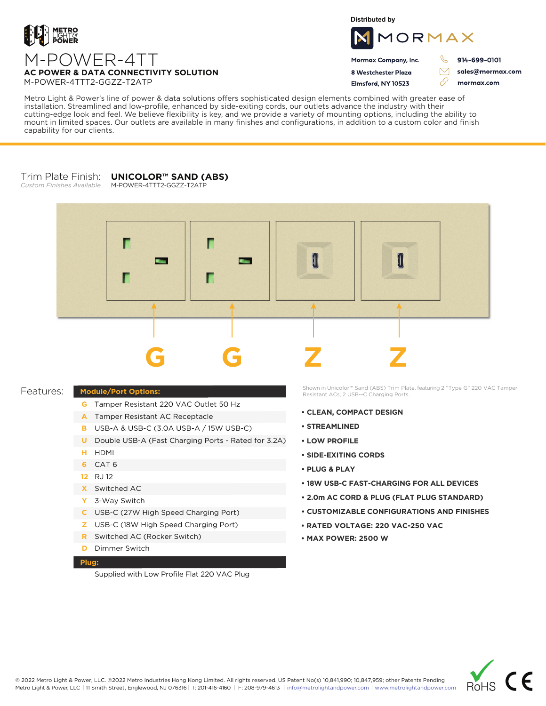

**Distributed by**



Mormax Company, Inc. 8 Westchester Plaza

Flmsford, NY 10523

914-699-0101

sales@mormax.com mormax.com

 $\triangledown$ 

76

M-POWER-4TT **AC POWER & DATA CONNECTIVITY SOLUTION** M-POWER-4TTT2-GGZZ-T2ATP

Metro Light & Power's line of power & data solutions offers sophisticated design elements combined with greater ease of installation. Streamlined and low-profile, enhanced by side-exiting cords, our outlets advance the industry with their cutting-edge look and feel. We believe flexibility is key, and we provide a variety of mounting options, including the ability to mount in limited spaces. Our outlets are available in many finishes and configurations, in addition to a custom color and finish capability for our clients.

## Trim Plate Finish: *Custom Finishes Available* **UNICOLOR™ SAND (ABS)**

M-POWER-4TTT2-GGZZ-T2ATP



## **Module/Port Options:** Features:

- **G** Tamper Resistant 220 VAC Outlet 50 Hz
- A Tamper Resistant AC Receptacle
- USB-A & USB-C (3.0A USB-A / 15W USB-C) **B**
- U Double USB-A (Fast Charging Ports Rated for 3.2A)
- HDMI **H**
- CAT 6 **6**
- 12 RJ 12
- Switched AC **X**
- 3-Way Switch **Y**
- USB-C (27W High Speed Charging Port) **C**
- USB-C (18W High Speed Charging Port) **Z**
- Switched AC (Rocker Switch) **R**
- **D** Dimmer Switch

## **Plug:**

Supplied with Low Profile Flat 220 VAC Plug

Shown in Unicolor™ Sand (ABS) Trim Plate, featuring 2 "Type G" 220 VAC Tamper Resistant ACs, 2 USB--C Charging Ports.

- **CLEAN, COMPACT DESIGN**
- **STREAMLINED**
- **LOW PROFILE**
- **SIDE-EXITING CORDS**
- **PLUG & PLAY**
- **18W USB-C FAST-CHARGING FOR ALL DEVICES**
- **2.0m AC CORD & PLUG (FLAT PLUG STANDARD)**
- **CUSTOMIZABLE CONFIGURATIONS AND FINISHES**
- **• RATED VOLTAGE: 220 VAC-250 VAC**
- **MAX POWER: 2500 W**